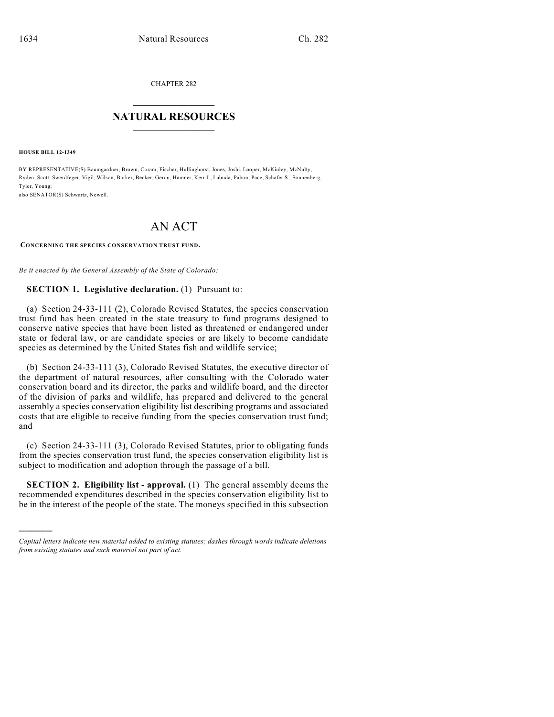CHAPTER 282

## $\overline{\phantom{a}}$  . The set of the set of the set of the set of the set of the set of the set of the set of the set of the set of the set of the set of the set of the set of the set of the set of the set of the set of the set o **NATURAL RESOURCES**  $\frac{1}{\sqrt{2}}$  , where  $\frac{1}{\sqrt{2}}$  ,  $\frac{1}{\sqrt{2}}$  ,  $\frac{1}{\sqrt{2}}$

**HOUSE BILL 12-1349**

)))))

BY REPRESENTATIVE(S) Baumgardner, Brown, Coram, Fischer, Hullinghorst, Jones, Joshi, Looper, McKinley, McNulty, Ryden, Scott, Swerdfeger, Vigil, Wilson, Barker, Becker, Gerou, Hamner, Kerr J., Labuda, Pabon, Pace, Schafer S., Sonnenberg, Tyler, Young; also SENATOR(S) Schwartz, Newell.

AN ACT

**CONCERNING THE SPECIES CONSERVATION TRUST FUND.**

*Be it enacted by the General Assembly of the State of Colorado:*

## **SECTION 1. Legislative declaration.** (1) Pursuant to:

(a) Section 24-33-111 (2), Colorado Revised Statutes, the species conservation trust fund has been created in the state treasury to fund programs designed to conserve native species that have been listed as threatened or endangered under state or federal law, or are candidate species or are likely to become candidate species as determined by the United States fish and wildlife service;

(b) Section 24-33-111 (3), Colorado Revised Statutes, the executive director of the department of natural resources, after consulting with the Colorado water conservation board and its director, the parks and wildlife board, and the director of the division of parks and wildlife, has prepared and delivered to the general assembly a species conservation eligibility list describing programs and associated costs that are eligible to receive funding from the species conservation trust fund; and

(c) Section 24-33-111 (3), Colorado Revised Statutes, prior to obligating funds from the species conservation trust fund, the species conservation eligibility list is subject to modification and adoption through the passage of a bill.

**SECTION 2. Eligibility list - approval.** (1) The general assembly deems the recommended expenditures described in the species conservation eligibility list to be in the interest of the people of the state. The moneys specified in this subsection

*Capital letters indicate new material added to existing statutes; dashes through words indicate deletions from existing statutes and such material not part of act.*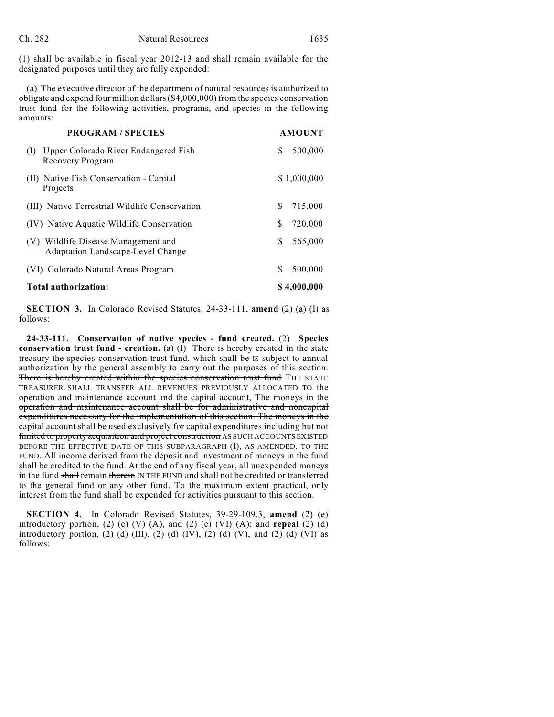(1) shall be available in fiscal year 2012-13 and shall remain available for the designated purposes until they are fully expended:

(a) The executive director of the department of natural resources is authorized to obligate and expend four million dollars(\$4,000,000) from the species conservation trust fund for the following activities, programs, and species in the following amounts:

| <b>PROGRAM / SPECIES</b>                                                    | <b>AMOUNT</b> |
|-----------------------------------------------------------------------------|---------------|
| Upper Colorado River Endangered Fish<br>(I)<br>Recovery Program             | 500,000<br>S  |
| (II) Native Fish Conservation - Capital<br>Projects                         | \$1,000,000   |
| (III) Native Terrestrial Wildlife Conservation                              | \$<br>715,000 |
| (IV) Native Aquatic Wildlife Conservation                                   | S<br>720,000  |
| Wildlife Disease Management and<br>(V)<br>Adaptation Landscape-Level Change | 565,000<br>S  |
| (VI) Colorado Natural Areas Program                                         | S<br>500,000  |
| Total authorization:                                                        | \$4,000,000   |

**SECTION 3.** In Colorado Revised Statutes, 24-33-111, **amend** (2) (a) (I) as follows:

**24-33-111. Conservation of native species - fund created.** (2) **Species conservation trust fund - creation.** (a)  $(I)$  There is hereby created in the state treasury the species conservation trust fund, which shall be IS subject to annual authorization by the general assembly to carry out the purposes of this section. There is hereby created within the species conservation trust fund THE STATE TREASURER SHALL TRANSFER ALL REVENUES PREVIOUSLY ALLOCATED TO the operation and maintenance account and the capital account, The moneys in the operation and maintenance account shall be for administrative and noncapital expenditures necessary for the implementation of this section. The moneys in the capital account shall be used exclusively for capital expenditures including but not limited to property acquisition and project construction AS SUCH ACCOUNTS EXISTED BEFORE THE EFFECTIVE DATE OF THIS SUBPARAGRAPH (I), AS AMENDED, TO THE FUND. All income derived from the deposit and investment of moneys in the fund shall be credited to the fund. At the end of any fiscal year, all unexpended moneys in the fund shall remain therein IN THE FUND and shall not be credited or transferred to the general fund or any other fund. To the maximum extent practical, only interest from the fund shall be expended for activities pursuant to this section.

**SECTION 4.** In Colorado Revised Statutes, 39-29-109.3, **amend** (2) (e) introductory portion, (2) (e) (V) (A), and (2) (e) (VI) (A); and **repeal** (2) (d) introductory portion, (2) (d) (III), (2) (d) (IV), (2) (d) (V), and (2) (d) (VI) as follows: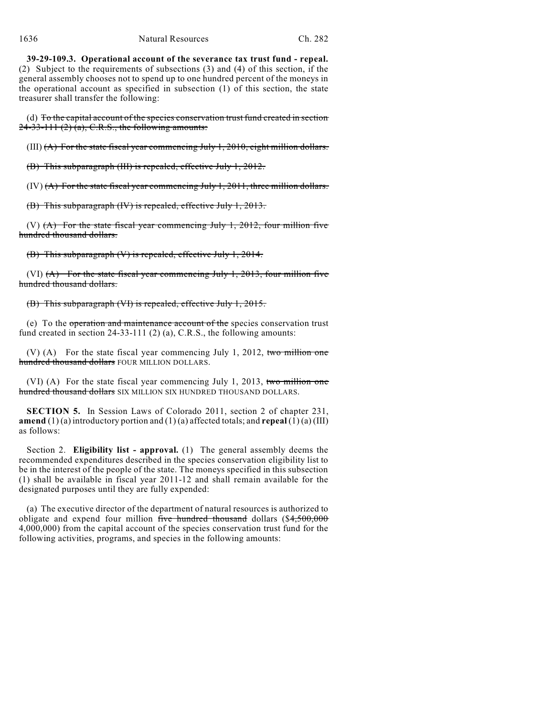**39-29-109.3. Operational account of the severance tax trust fund - repeal.** (2) Subject to the requirements of subsections (3) and (4) of this section, if the general assembly chooses not to spend up to one hundred percent of the moneys in the operational account as specified in subsection (1) of this section, the state treasurer shall transfer the following:

(d) To the capital account of the species conservation trust fund created in section  $24-33-111(2)$  (a), C.R.S., the following amounts:

 $(III)$   $(A)$  For the state fiscal year commencing July 1, 2010, eight million dollars.

(B) This subparagraph (III) is repealed, effective July 1, 2012.

 $(IV)$   $(A)$  For the state fiscal year commencing July 1, 2011, three million dollars.

(B) This subparagraph (IV) is repealed, effective July 1, 2013.

(V)  $(A)$  For the state fiscal year commencing July 1, 2012, four million five hundred thousand dollars.

(B) This subparagraph (V) is repealed, effective July 1, 2014.

(VI)  $(A)$  For the state fiscal year commencing July 1, 2013, four million five hundred thousand dollars.

(B) This subparagraph (VI) is repealed, effective July 1, 2015.

(e) To the operation and maintenance account of the species conservation trust fund created in section 24-33-111 (2) (a), C.R.S., the following amounts:

(V) (A) For the state fiscal year commencing July 1, 2012, two million one hundred thousand dollars FOUR MILLION DOLLARS.

(VI) (A) For the state fiscal year commencing July 1, 2013, two million one hundred thousand dollars SIX MILLION SIX HUNDRED THOUSAND DOLLARS.

**SECTION 5.** In Session Laws of Colorado 2011, section 2 of chapter 231, **amend** (1) (a) introductory portion and (1) (a) affected totals; and **repeal** (1) (a) (III) as follows:

Section 2. **Eligibility list - approval.** (1) The general assembly deems the recommended expenditures described in the species conservation eligibility list to be in the interest of the people of the state. The moneys specified in this subsection (1) shall be available in fiscal year 2011-12 and shall remain available for the designated purposes until they are fully expended:

(a) The executive director of the department of natural resources is authorized to obligate and expend four million five hundred thousand dollars (\$4,500,000 4,000,000) from the capital account of the species conservation trust fund for the following activities, programs, and species in the following amounts: